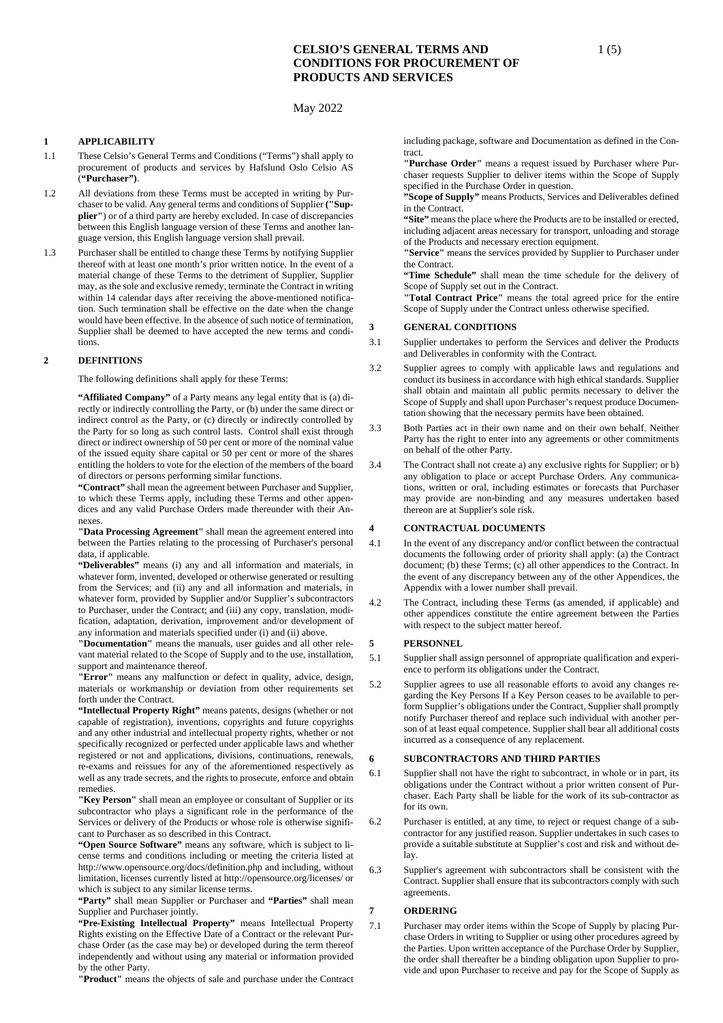## May 2022

### **1 APPLICABILITY**

- 1.1 These Celsio's General Terms and Conditions ("Terms") shall apply to procurement of products and services by Hafslund Oslo Celsio AS (**"Purchaser")**.
- 1.2 All deviations from these Terms must be accepted in writing by Purchaser to be valid. Any general terms and conditions of Supplier **("Supplier"**) or of a third party are hereby excluded. In case of discrepancies between this English language version of these Terms and another language version, this English language version shall prevail.
- 1.3 Purchaser shall be entitled to change these Terms by notifying Supplier thereof with at least one month's prior written notice. In the event of a material change of these Terms to the detriment of Supplier, Supplier may, as the sole and exclusive remedy, terminate the Contract in writing within 14 calendar days after receiving the above-mentioned notification. Such termination shall be effective on the date when the change would have been effective. In the absence of such notice of termination, Supplier shall be deemed to have accepted the new terms and conditions.

#### **2 DEFINITIONS**

The following definitions shall apply for these Terms:

**"Affiliated Company"** of a Party means any legal entity that is (a) directly or indirectly controlling the Party, or (b) under the same direct or indirect control as the Party, or (c) directly or indirectly controlled by the Party for so long as such control lasts. Control shall exist through direct or indirect ownership of 50 per cent or more of the nominal value of the issued equity share capital or 50 per cent or more of the shares entitling the holders to vote for the election of the members of the board of directors or persons performing similar functions.

**"Contract"** shall mean the agreement between Purchaser and Supplier, to which these Terms apply, including these Terms and other appendices and any valid Purchase Orders made thereunder with their Annexes.

**"Data Processing Agreement"** shall mean the agreement entered into between the Parties relating to the processing of Purchaser's personal data, if applicable.

**"Deliverables"** means (i) any and all information and materials, in whatever form, invented, developed or otherwise generated or resulting from the Services; and (ii) any and all information and materials, in whatever form, provided by Supplier and/or Supplier's subcontractors to Purchaser, under the Contract; and (iii) any copy, translation, modification, adaptation, derivation, improvement and/or development of any information and materials specified under (i) and (ii) above.

**"Documentation"** means the manuals, user guides and all other relevant material related to the Scope of Supply and to the use, installation, support and maintenance thereof.

**"Error"** means any malfunction or defect in quality, advice, design, materials or workmanship or deviation from other requirements set forth under the Contract.

**"Intellectual Property Right"** means patents, designs (whether or not capable of registration), inventions, copyrights and future copyrights and any other industrial and intellectual property rights, whether or not specifically recognized or perfected under applicable laws and whether registered or not and applications, divisions, continuations, renewals, re-exams and reissues for any of the aforementioned respectively as well as any trade secrets, and the rights to prosecute, enforce and obtain remedies.

**"Key Person"** shall mean an employee or consultant of Supplier or its subcontractor who plays a significant role in the performance of the Services or delivery of the Products or whose role is otherwise significant to Purchaser as so described in this Contract.

**"Open Source Software"** means any software, which is subject to license terms and conditions including or meeting the criteria listed at http://www.opensource.org/docs/definition.php and including, without limitation, licenses currently listed at http://opensource.org/licenses/ or which is subject to any similar license terms.

**"Party"** shall mean Supplier or Purchaser and **"Parties"** shall mean Supplier and Purchaser jointly.

**"Pre-Existing Intellectual Property"** means Intellectual Property Rights existing on the Effective Date of a Contract or the relevant Purchase Order (as the case may be) or developed during the term thereof independently and without using any material or information provided by the other Party.

**"Product"** means the objects of sale and purchase under the Contract

including package, software and Documentation as defined in the Contract.

**"Purchase Order"** means a request issued by Purchaser where Purchaser requests Supplier to deliver items within the Scope of Supply specified in the Purchase Order in question.

**"Scope of Supply"** means Products, Services and Deliverables defined in the Contract.

**"Site"** means the place where the Products are to be installed or erected, including adjacent areas necessary for transport, unloading and storage of the Products and necessary erection equipment.

**"Service"** means the services provided by Supplier to Purchaser under the Contract.

**"Time Schedule"** shall mean the time schedule for the delivery of Scope of Supply set out in the Contract.

**"Total Contract Price"** means the total agreed price for the entire Scope of Supply under the Contract unless otherwise specified.

## **3 GENERAL CONDITIONS**

- 3.1 Supplier undertakes to perform the Services and deliver the Products and Deliverables in conformity with the Contract.
- 3.2 Supplier agrees to comply with applicable laws and regulations and conduct its business in accordance with high ethical standards. Supplier shall obtain and maintain all public permits necessary to deliver the Scope of Supply and shall upon Purchaser's request produce Documentation showing that the necessary permits have been obtained.
- 3.3 Both Parties act in their own name and on their own behalf. Neither Party has the right to enter into any agreements or other commitments on behalf of the other Party.
- 3.4 The Contract shall not create a) any exclusive rights for Supplier; or b) any obligation to place or accept Purchase Orders. Any communications, written or oral, including estimates or forecasts that Purchaser may provide are non-binding and any measures undertaken based thereon are at Supplier's sole risk.

## **4 CONTRACTUAL DOCUMENTS**

- 4.1 In the event of any discrepancy and/or conflict between the contractual documents the following order of priority shall apply: (a) the Contract document; (b) these Terms; (c) all other appendices to the Contract. In the event of any discrepancy between any of the other Appendices, the Appendix with a lower number shall prevail.
- 4.2 The Contract, including these Terms (as amended, if applicable) and other appendices constitute the entire agreement between the Parties with respect to the subject matter hereof.

## **5 PERSONNEL**

- 5.1 Supplier shall assign personnel of appropriate qualification and experience to perform its obligations under the Contract.
- 5.2 Supplier agrees to use all reasonable efforts to avoid any changes regarding the Key Persons If a Key Person ceases to be available to perform Supplier's obligations under the Contract, Supplier shall promptly notify Purchaser thereof and replace such individual with another person of at least equal competence. Supplier shall bear all additional costs incurred as a consequence of any replacement.

## **6 SUBCONTRACTORS AND THIRD PARTIES**

- 6.1 Supplier shall not have the right to subcontract, in whole or in part, its obligations under the Contract without a prior written consent of Purchaser. Each Party shall be liable for the work of its sub-contractor as for its own.
- 6.2 Purchaser is entitled, at any time, to reject or request change of a subcontractor for any justified reason. Supplier undertakes in such cases to provide a suitable substitute at Supplier's cost and risk and without delay.
- 6.3 Supplier's agreement with subcontractors shall be consistent with the Contract. Supplier shall ensure that its subcontractors comply with such agreements.

# **7 ORDERING**

7.1 Purchaser may order items within the Scope of Supply by placing Purchase Orders in writing to Supplier or using other procedures agreed by the Parties. Upon written acceptance of the Purchase Order by Supplier, the order shall thereafter be a binding obligation upon Supplier to provide and upon Purchaser to receive and pay for the Scope of Supply as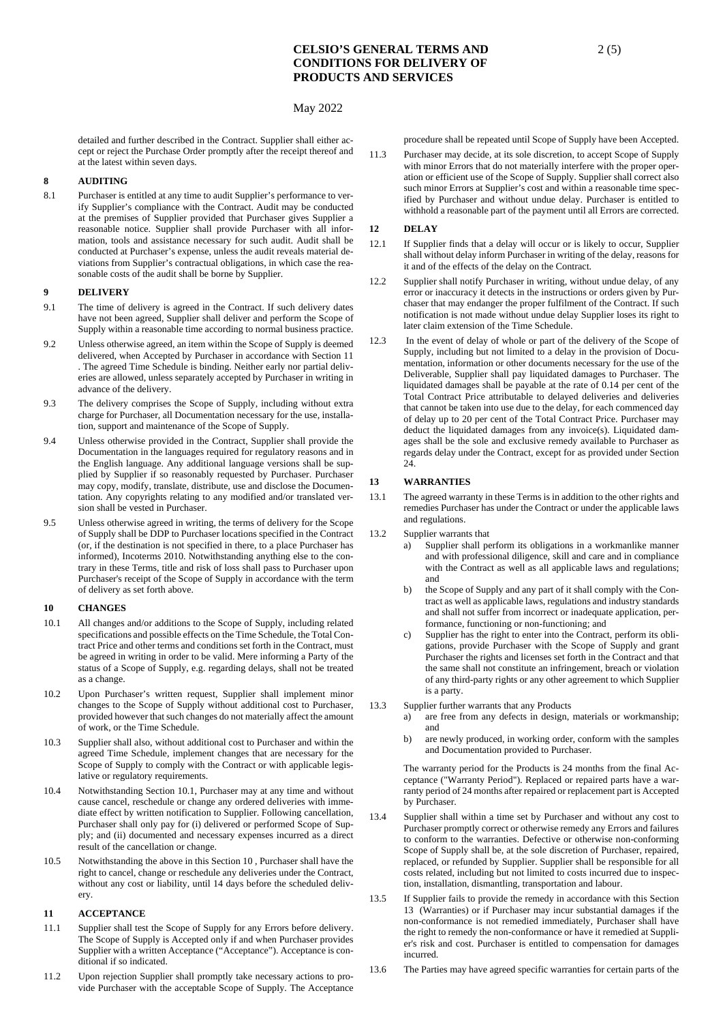## May 2022

detailed and further described in the Contract. Supplier shall either accept or reject the Purchase Order promptly after the receipt thereof and at the latest within seven days.

# **8 AUDITING**

8.1 Purchaser is entitled at any time to audit Supplier's performance to verify Supplier's compliance with the Contract. Audit may be conducted at the premises of Supplier provided that Purchaser gives Supplier a reasonable notice. Supplier shall provide Purchaser with all information, tools and assistance necessary for such audit. Audit shall be conducted at Purchaser's expense, unless the audit reveals material deviations from Supplier's contractual obligations, in which case the reasonable costs of the audit shall be borne by Supplier.

#### **9 DELIVERY**

- 9.1 The time of delivery is agreed in the Contract. If such delivery dates have not been agreed, Supplier shall deliver and perform the Scope of Supply within a reasonable time according to normal business practice.
- 9.2 Unless otherwise agreed, an item within the Scope of Supply is deemed delivered, when Accepted by Purchaser in accordance with Section [11](#page-1-0)  . The agreed Time Schedule is binding. Neither early nor partial deliveries are allowed, unless separately accepted by Purchaser in writing in advance of the delivery.
- 9.3 The delivery comprises the Scope of Supply, including without extra charge for Purchaser, all Documentation necessary for the use, installation, support and maintenance of the Scope of Supply.
- 9.4 Unless otherwise provided in the Contract, Supplier shall provide the Documentation in the languages required for regulatory reasons and in the English language. Any additional language versions shall be supplied by Supplier if so reasonably requested by Purchaser. Purchaser may copy, modify, translate, distribute, use and disclose the Documentation. Any copyrights relating to any modified and/or translated version shall be vested in Purchaser.
- 9.5 Unless otherwise agreed in writing, the terms of delivery for the Scope of Supply shall be DDP to Purchaser locations specified in the Contract (or, if the destination is not specified in there, to a place Purchaser has informed), Incoterms 2010. Notwithstanding anything else to the contrary in these Terms, title and risk of loss shall pass to Purchaser upon Purchaser's receipt of the Scope of Supply in accordance with the term of delivery as set forth above.

## <span id="page-1-1"></span>**10 CHANGES**

- 10.1 All changes and/or additions to the Scope of Supply, including related specifications and possible effects on the Time Schedule, the Total Contract Price and other terms and conditions set forth in the Contract, must be agreed in writing in order to be valid. Mere informing a Party of the status of a Scope of Supply, e.g. regarding delays, shall not be treated as a change.
- 10.2 Upon Purchaser's written request, Supplier shall implement minor changes to the Scope of Supply without additional cost to Purchaser, provided however that such changes do not materially affect the amount of work, or the Time Schedule.
- 10.3 Supplier shall also, without additional cost to Purchaser and within the agreed Time Schedule, implement changes that are necessary for the Scope of Supply to comply with the Contract or with applicable legislative or regulatory requirements.
- 10.4 Notwithstanding Section 10.1, Purchaser may at any time and without cause cancel, reschedule or change any ordered deliveries with immediate effect by written notification to Supplier. Following cancellation, Purchaser shall only pay for (i) delivered or performed Scope of Supply; and (ii) documented and necessary expenses incurred as a direct result of the cancellation or change.
- 10.5 Notwithstanding the above in this Section [10 ,](#page-1-1) Purchaser shall have the right to cancel, change or reschedule any deliveries under the Contract, without any cost or liability, until 14 days before the scheduled delivery.

## <span id="page-1-0"></span>**11 ACCEPTANCE**

- 11.1 Supplier shall test the Scope of Supply for any Errors before delivery. The Scope of Supply is Accepted only if and when Purchaser provides Supplier with a written Acceptance ("Acceptance"). Acceptance is conditional if so indicated.
- 11.2 Upon rejection Supplier shall promptly take necessary actions to provide Purchaser with the acceptable Scope of Supply. The Acceptance

procedure shall be repeated until Scope of Supply have been Accepted.

11.3 Purchaser may decide, at its sole discretion, to accept Scope of Supply with minor Errors that do not materially interfere with the proper operation or efficient use of the Scope of Supply. Supplier shall correct also such minor Errors at Supplier's cost and within a reasonable time specified by Purchaser and without undue delay. Purchaser is entitled to withhold a reasonable part of the payment until all Errors are corrected.

# **12 DELAY**

- 12.1 If Supplier finds that a delay will occur or is likely to occur, Supplier shall without delay inform Purchaser in writing of the delay, reasons for it and of the effects of the delay on the Contract.
- 12.2 Supplier shall notify Purchaser in writing, without undue delay, of any error or inaccuracy it detects in the instructions or orders given by Purchaser that may endanger the proper fulfilment of the Contract. If such notification is not made without undue delay Supplier loses its right to later claim extension of the Time Schedule.
- 12.3 In the event of delay of whole or part of the delivery of the Scope of Supply, including but not limited to a delay in the provision of Documentation, information or other documents necessary for the use of the Deliverable, Supplier shall pay liquidated damages to Purchaser. The liquidated damages shall be payable at the rate of 0.14 per cent of the Total Contract Price attributable to delayed deliveries and deliveries that cannot be taken into use due to the delay, for each commenced day of delay up to 20 per cent of the Total Contract Price. Purchaser may deduct the liquidated damages from any invoice(s). Liquidated damages shall be the sole and exclusive remedy available to Purchaser as regards delay under the Contract, except for as provided under Section 24.

## <span id="page-1-2"></span>**13 WARRANTIES**

- 13.1 The agreed warranty in these Terms is in addition to the other rights and remedies Purchaser has under the Contract or under the applicable laws and regulations.
- 13.2 Supplier warrants that
	- a) Supplier shall perform its obligations in a workmanlike manner and with professional diligence, skill and care and in compliance with the Contract as well as all applicable laws and regulations; and
	- b) the Scope of Supply and any part of it shall comply with the Contract as well as applicable laws, regulations and industry standards and shall not suffer from incorrect or inadequate application, performance, functioning or non-functioning; and
	- c) Supplier has the right to enter into the Contract, perform its obligations, provide Purchaser with the Scope of Supply and grant Purchaser the rights and licenses set forth in the Contract and that the same shall not constitute an infringement, breach or violation of any third-party rights or any other agreement to which Supplier is a party.
- 13.3 Supplier further warrants that any Products
	- a) are free from any defects in design, materials or workmanship; and
		- b) are newly produced, in working order, conform with the samples and Documentation provided to Purchaser.

The warranty period for the Products is 24 months from the final Acceptance ("Warranty Period"). Replaced or repaired parts have a warranty period of 24 months after repaired or replacement part is Accepted by Purchaser.

- 13.4 Supplier shall within a time set by Purchaser and without any cost to Purchaser promptly correct or otherwise remedy any Errors and failures to conform to the warranties. Defective or otherwise non-conforming Scope of Supply shall be, at the sole discretion of Purchaser, repaired, replaced, or refunded by Supplier. Supplier shall be responsible for all costs related, including but not limited to costs incurred due to inspection, installation, dismantling, transportation and labour.
- 13.5 If Supplier fails to provide the remedy in accordance with this Section [13](#page-1-2) (Warranties) or if Purchaser may incur substantial damages if the non-conformance is not remedied immediately, Purchaser shall have the right to remedy the non-conformance or have it remedied at Supplier's risk and cost. Purchaser is entitled to compensation for damages incurred.
- 13.6 The Parties may have agreed specific warranties for certain parts of the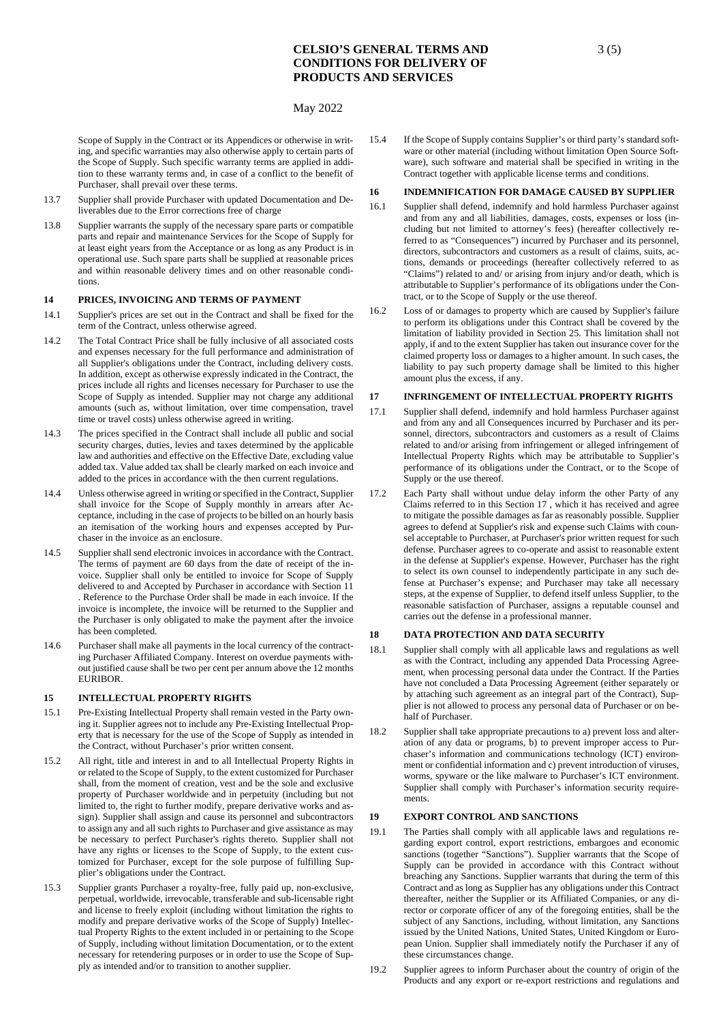## May 2022

Scope of Supply in the Contract or its Appendices or otherwise in writing, and specific warranties may also otherwise apply to certain parts of the Scope of Supply. Such specific warranty terms are applied in addition to these warranty terms and, in case of a conflict to the benefit of Purchaser, shall prevail over these terms.

- 13.7 Supplier shall provide Purchaser with updated Documentation and Deliverables due to the Error corrections free of charge
- 13.8 Supplier warrants the supply of the necessary spare parts or compatible parts and repair and maintenance Services for the Scope of Supply for at least eight years from the Acceptance or as long as any Product is in operational use. Such spare parts shall be supplied at reasonable prices and within reasonable delivery times and on other reasonable conditions.

# **14 PRICES, INVOICING AND TERMS OF PAYMENT**

- 14.1 Supplier's prices are set out in the Contract and shall be fixed for the term of the Contract, unless otherwise agreed.
- 14.2 The Total Contract Price shall be fully inclusive of all associated costs and expenses necessary for the full performance and administration of all Supplier's obligations under the Contract, including delivery costs. In addition, except as otherwise expressly indicated in the Contract, the prices include all rights and licenses necessary for Purchaser to use the Scope of Supply as intended. Supplier may not charge any additional amounts (such as, without limitation, over time compensation, travel time or travel costs) unless otherwise agreed in writing.
- 14.3 The prices specified in the Contract shall include all public and social security charges, duties, levies and taxes determined by the applicable law and authorities and effective on the Effective Date, excluding value added tax. Value added tax shall be clearly marked on each invoice and added to the prices in accordance with the then current regulations.
- 14.4 Unless otherwise agreed in writing or specified in the Contract, Supplier shall invoice for the Scope of Supply monthly in arrears after Acceptance, including in the case of projects to be billed on an hourly basis an itemisation of the working hours and expenses accepted by Purchaser in the invoice as an enclosure.
- 14.5 Supplier shall send electronic invoices in accordance with the Contract. The terms of payment are 60 days from the date of receipt of the invoice. Supplier shall only be entitled to invoice for Scope of Supply delivered to and Accepted by Purchaser in accordance with Section [11](#page-1-0)  . Reference to the Purchase Order shall be made in each invoice. If the invoice is incomplete, the invoice will be returned to the Supplier and the Purchaser is only obligated to make the payment after the invoice has been completed.
- 14.6 Purchaser shall make all payments in the local currency of the contracting Purchaser Affiliated Company. Interest on overdue payments without justified cause shall be two per cent per annum above the 12 months EURIBOR.

#### **15 INTELLECTUAL PROPERTY RIGHTS**

- 15.1 Pre-Existing Intellectual Property shall remain vested in the Party owning it. Supplier agrees not to include any Pre-Existing Intellectual Property that is necessary for the use of the Scope of Supply as intended in the Contract, without Purchaser's prior written consent.
- 15.2 All right, title and interest in and to all Intellectual Property Rights in or related to the Scope of Supply, to the extent customized for Purchaser shall, from the moment of creation, vest and be the sole and exclusive property of Purchaser worldwide and in perpetuity (including but not limited to, the right to further modify, prepare derivative works and assign). Supplier shall assign and cause its personnel and subcontractors to assign any and all such rights to Purchaser and give assistance as may be necessary to perfect Purchaser's rights thereto. Supplier shall not have any rights or licenses to the Scope of Supply, to the extent customized for Purchaser, except for the sole purpose of fulfilling Supplier's obligations under the Contract.
- 15.3 Supplier grants Purchaser a royalty-free, fully paid up, non-exclusive, perpetual, worldwide, irrevocable, transferable and sub-licensable right and license to freely exploit (including without limitation the rights to modify and prepare derivative works of the Scope of Supply) Intellectual Property Rights to the extent included in or pertaining to the Scope of Supply, including without limitation Documentation, or to the extent necessary for retendering purposes or in order to use the Scope of Supply as intended and/or to transition to another supplier.

15.4 If the Scope of Supply contains Supplier's or third party's standard software or other material (including without limitation Open Source Software), such software and material shall be specified in writing in the Contract together with applicable license terms and conditions.

## **16 INDEMNIFICATION FOR DAMAGE CAUSED BY SUPPLIER**

- 16.1 Supplier shall defend, indemnify and hold harmless Purchaser against and from any and all liabilities, damages, costs, expenses or loss (including but not limited to attorney's fees) (hereafter collectively referred to as "Consequences") incurred by Purchaser and its personnel, directors, subcontractors and customers as a result of claims, suits, actions, demands or proceedings (hereafter collectively referred to as "Claims") related to and/ or arising from injury and/or death, which is attributable to Supplier's performance of its obligations under the Contract, or to the Scope of Supply or the use thereof.
- 16.2 Loss of or damages to property which are caused by Supplier's failure to perform its obligations under this Contract shall be covered by the limitation of liability provided in Section 25. This limitation shall not apply, if and to the extent Supplier has taken out insurance cover for the claimed property loss or damages to a higher amount. In such cases, the liability to pay such property damage shall be limited to this higher amount plus the excess, if any.

## <span id="page-2-0"></span>**17 INFRINGEMENT OF INTELLECTUAL PROPERTY RIGHTS**

- 17.1 Supplier shall defend, indemnify and hold harmless Purchaser against and from any and all Consequences incurred by Purchaser and its personnel, directors, subcontractors and customers as a result of Claims related to and/or arising from infringement or alleged infringement of Intellectual Property Rights which may be attributable to Supplier's performance of its obligations under the Contract, or to the Scope of Supply or the use thereof.
- 17.2 Each Party shall without undue delay inform the other Party of any Claims referred to in this Section [17 ,](#page-2-0) which it has received and agree to mitigate the possible damages as far as reasonably possible. Supplier agrees to defend at Supplier's risk and expense such Claims with counsel acceptable to Purchaser, at Purchaser's prior written request for such defense. Purchaser agrees to co-operate and assist to reasonable extent in the defense at Supplier's expense. However, Purchaser has the right to select its own counsel to independently participate in any such defense at Purchaser's expense; and Purchaser may take all necessary steps, at the expense of Supplier, to defend itself unless Supplier, to the reasonable satisfaction of Purchaser, assigns a reputable counsel and carries out the defense in a professional manner.

## <span id="page-2-1"></span>**18 DATA PROTECTION AND DATA SECURITY**

- 18.1 Supplier shall comply with all applicable laws and regulations as well as with the Contract, including any appended Data Processing Agreement, when processing personal data under the Contract. If the Parties have not concluded a Data Processing Agreement (either separately or by attaching such agreement as an integral part of the Contract), Supplier is not allowed to process any personal data of Purchaser or on behalf of Purchaser.
- 18.2 Supplier shall take appropriate precautions to a) prevent loss and alteration of any data or programs, b) to prevent improper access to Purchaser's information and communications technology (ICT) environment or confidential information and c) prevent introduction of viruses, worms, spyware or the like malware to Purchaser's ICT environment. Supplier shall comply with Purchaser's information security requirements.

## <span id="page-2-2"></span>**19 EXPORT CONTROL AND SANCTIONS**

- 19.1 The Parties shall comply with all applicable laws and regulations regarding export control, export restrictions, embargoes and economic sanctions (together "Sanctions"). Supplier warrants that the Scope of Supply can be provided in accordance with this Contract without breaching any Sanctions. Supplier warrants that during the term of this Contract and as long as Supplier has any obligations under this Contract thereafter, neither the Supplier or its Affiliated Companies, or any director or corporate officer of any of the foregoing entities, shall be the subject of any Sanctions, including, without limitation, any Sanctions issued by the United Nations, United States, United Kingdom or European Union. Supplier shall immediately notify the Purchaser if any of these circumstances change.
- 19.2 Supplier agrees to inform Purchaser about the country of origin of the Products and any export or re-export restrictions and regulations and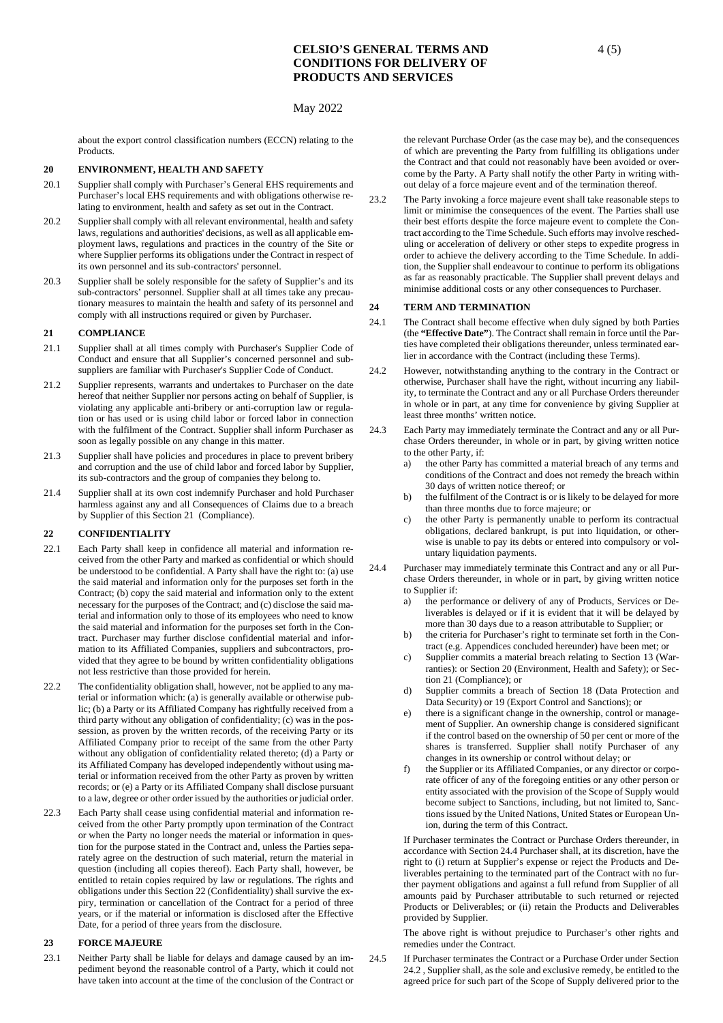## May 2022

about the export control classification numbers (ECCN) relating to the Products.

### <span id="page-3-2"></span>**20 ENVIRONMENT, HEALTH AND SAFETY**

- 20.1 Supplier shall comply with Purchaser's General EHS requirements and Purchaser's local EHS requirements and with obligations otherwise relating to environment, health and safety as set out in the Contract.
- 20.2 Supplier shall comply with all relevant environmental, health and safety laws, regulations and authorities' decisions, as well as all applicable employment laws, regulations and practices in the country of the Site or where Supplier performs its obligations under the Contract in respect of its own personnel and its sub-contractors' personnel.
- 20.3 Supplier shall be solely responsible for the safety of Supplier's and its sub-contractors' personnel. Supplier shall at all times take any precautionary measures to maintain the health and safety of its personnel and comply with all instructions required or given by Purchaser.

#### <span id="page-3-0"></span>**21 COMPLIANCE**

- 21.1 Supplier shall at all times comply with Purchaser's Supplier Code of Conduct and ensure that all Supplier's concerned personnel and subsuppliers are familiar with Purchaser's Supplier Code of Conduct.
- 21.2 Supplier represents, warrants and undertakes to Purchaser on the date hereof that neither Supplier nor persons acting on behalf of Supplier, is violating any applicable anti-bribery or anti-corruption law or regulation or has used or is using child labor or forced labor in connection with the fulfilment of the Contract. Supplier shall inform Purchaser as soon as legally possible on any change in this matter.
- 21.3 Supplier shall have policies and procedures in place to prevent bribery and corruption and the use of child labor and forced labor by Supplier, its sub-contractors and the group of companies they belong to.
- 21.4 Supplier shall at its own cost indemnify Purchaser and hold Purchaser harmless against any and all Consequences of Claims due to a breach by Supplier of this Section [21 \(](#page-3-0)Compliance).

### <span id="page-3-1"></span>**22 CONFIDENTIALITY**

- 22.1 Each Party shall keep in confidence all material and information received from the other Party and marked as confidential or which should be understood to be confidential. A Party shall have the right to: (a) use the said material and information only for the purposes set forth in the Contract; (b) copy the said material and information only to the extent necessary for the purposes of the Contract; and (c) disclose the said material and information only to those of its employees who need to know the said material and information for the purposes set forth in the Contract. Purchaser may further disclose confidential material and information to its Affiliated Companies, suppliers and subcontractors, provided that they agree to be bound by written confidentiality obligations not less restrictive than those provided for herein.
- 22.2 The confidentiality obligation shall, however, not be applied to any material or information which: (a) is generally available or otherwise public; (b) a Party or its Affiliated Company has rightfully received from a third party without any obligation of confidentiality; (c) was in the possession, as proven by the written records, of the receiving Party or its Affiliated Company prior to receipt of the same from the other Party without any obligation of confidentiality related thereto; (d) a Party or its Affiliated Company has developed independently without using material or information received from the other Party as proven by written records; or (e) a Party or its Affiliated Company shall disclose pursuant to a law, degree or other order issued by the authorities or judicial order.
- 22.3 Each Party shall cease using confidential material and information received from the other Party promptly upon termination of the Contract or when the Party no longer needs the material or information in question for the purpose stated in the Contract and, unless the Parties separately agree on the destruction of such material, return the material in question (including all copies thereof). Each Party shall, however, be entitled to retain copies required by law or regulations. The rights and obligations under this Sectio[n 22 \(](#page-3-1)Confidentiality) shall survive the expiry, termination or cancellation of the Contract for a period of three years, or if the material or information is disclosed after the Effective Date, for a period of three years from the disclosure.

#### **23 FORCE MAJEURE**

23.1 Neither Party shall be liable for delays and damage caused by an impediment beyond the reasonable control of a Party, which it could not have taken into account at the time of the conclusion of the Contract or

the relevant Purchase Order (as the case may be), and the consequences of which are preventing the Party from fulfilling its obligations under the Contract and that could not reasonably have been avoided or overcome by the Party. A Party shall notify the other Party in writing without delay of a force majeure event and of the termination thereof.

23.2 The Party invoking a force majeure event shall take reasonable steps to limit or minimise the consequences of the event. The Parties shall use their best efforts despite the force majeure event to complete the Contract according to the Time Schedule. Such efforts may involve rescheduling or acceleration of delivery or other steps to expedite progress in order to achieve the delivery according to the Time Schedule. In addition, the Supplier shall endeavour to continue to perform its obligations as far as reasonably practicable. The Supplier shall prevent delays and minimise additional costs or any other consequences to Purchaser.

### **24 TERM AND TERMINATION**

- 24.1 The Contract shall become effective when duly signed by both Parties (the **"Effective Date"**). The Contract shall remain in force until the Parties have completed their obligations thereunder, unless terminated earlier in accordance with the Contract (including these Terms).
- <span id="page-3-4"></span>24.2 However, notwithstanding anything to the contrary in the Contract or otherwise, Purchaser shall have the right, without incurring any liability, to terminate the Contract and any or all Purchase Orders thereunder in whole or in part, at any time for convenience by giving Supplier at least three months' written notice.
- 24.3 Each Party may immediately terminate the Contract and any or all Purchase Orders thereunder, in whole or in part, by giving written notice to the other Party, if:
	- a) the other Party has committed a material breach of any terms and conditions of the Contract and does not remedy the breach within 30 days of written notice thereof; or
	- the fulfilment of the Contract is or is likely to be delayed for more than three months due to force majeure; or
	- c) the other Party is permanently unable to perform its contractual obligations, declared bankrupt, is put into liquidation, or otherwise is unable to pay its debts or entered into compulsory or voluntary liquidation payments.
- <span id="page-3-3"></span>24.4 Purchaser may immediately terminate this Contract and any or all Purchase Orders thereunder, in whole or in part, by giving written notice to Supplier if:
	- a) the performance or delivery of any of Products, Services or Deliverables is delayed or if it is evident that it will be delayed by more than 30 days due to a reason attributable to Supplier; or
	- b) the criteria for Purchaser's right to terminate set forth in the Contract (e.g. Appendices concluded hereunder) have been met; or
	- c) Supplier commits a material breach relating to Section 13 (Warranties): or Sectio[n 20 \(](#page-3-2)Environment, Health and Safety); or Section [21 \(](#page-3-0)Compliance); or
	- d) Supplier commits a breach of Section [18 \(](#page-2-1)Data Protection and Data Security) o[r 19 \(](#page-2-2)Export Control and Sanctions); or
	- e) there is a significant change in the ownership, control or management of Supplier. An ownership change is considered significant if the control based on the ownership of 50 per cent or more of the shares is transferred. Supplier shall notify Purchaser of any changes in its ownership or control without delay; or
	- f) the Supplier or its Affiliated Companies, or any director or corporate officer of any of the foregoing entities or any other person or entity associated with the provision of the Scope of Supply would become subject to Sanctions, including, but not limited to, Sanctions issued by the United Nations, United States or European Union, during the term of this Contract.

If Purchaser terminates the Contract or Purchase Orders thereunder, in accordance with Sectio[n 24.4 P](#page-3-3)urchaser shall, at its discretion, have the right to (i) return at Supplier's expense or reject the Products and Deliverables pertaining to the terminated part of the Contract with no further payment obligations and against a full refund from Supplier of all amounts paid by Purchaser attributable to such returned or rejected Products or Deliverables; or (ii) retain the Products and Deliverables provided by Supplier.

The above right is without prejudice to Purchaser's other rights and remedies under the Contract.

24.5 If Purchaser terminates the Contract or a Purchase Order under Section [24.2 ,](#page-3-4) Supplier shall, as the sole and exclusive remedy, be entitled to the agreed price for such part of the Scope of Supply delivered prior to the